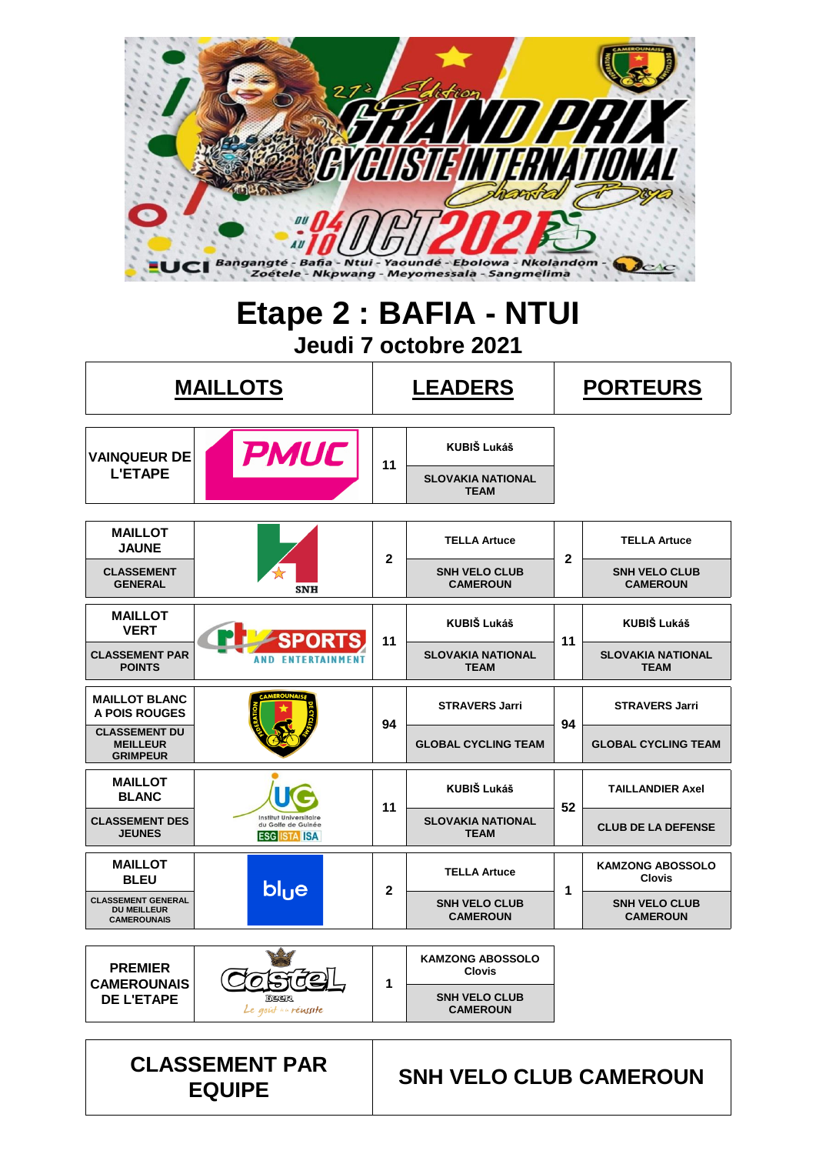

## **Etape 2 : BAFIA - NTUI Jeudi 7 octobre 2021**

|                                                                       | <b>MAILLOTS</b>                                                            | <b>LEADERS</b> |                                          |              | <b>PORTEURS</b>                          |  |  |  |
|-----------------------------------------------------------------------|----------------------------------------------------------------------------|----------------|------------------------------------------|--------------|------------------------------------------|--|--|--|
| <b>VAINQUEUR DE</b>                                                   | <b>PMUC</b>                                                                | 11             | <b>KUBIŠ Lukáš</b>                       |              |                                          |  |  |  |
| <b>L'ETAPE</b>                                                        |                                                                            |                | <b>SLOVAKIA NATIONAL</b><br><b>TEAM</b>  |              |                                          |  |  |  |
| <b>MAILLOT</b><br><b>JAUNE</b>                                        |                                                                            |                | <b>TELLA Artuce</b>                      |              | <b>TELLA Artuce</b>                      |  |  |  |
| <b>CLASSEMENT</b><br><b>GENERAL</b>                                   | <b>SNH</b>                                                                 | $\overline{2}$ | <b>SNH VELO CLUB</b><br><b>CAMEROUN</b>  | $\mathbf{2}$ | <b>SNH VELO CLUB</b><br><b>CAMEROUN</b>  |  |  |  |
| <b>MAILLOT</b><br><b>VERT</b>                                         |                                                                            | 11             | <b>KUBIŠ Lukáš</b>                       | 11           | KUBIŠ Lukáš                              |  |  |  |
| <b>CLASSEMENT PAR</b><br><b>POINTS</b>                                | <b>AND ENTERTAINMENT</b>                                                   |                | <b>SLOVAKIA NATIONAL</b><br><b>TEAM</b>  |              | <b>SLOVAKIA NATIONAL</b><br><b>TEAM</b>  |  |  |  |
| <b>MAILLOT BLANC</b><br>A POIS ROUGES                                 |                                                                            | 94             | <b>STRAVERS Jarri</b>                    | 94           | <b>STRAVERS Jarri</b>                    |  |  |  |
| <b>CLASSEMENT DU</b><br><b>MEILLEUR</b><br><b>GRIMPEUR</b>            |                                                                            |                | <b>GLOBAL CYCLING TEAM</b>               |              | <b>GLOBAL CYCLING TEAM</b>               |  |  |  |
| <b>MAILLOT</b><br><b>BLANC</b>                                        |                                                                            | 11             | <b>KUBIŠ Lukáš</b>                       | 52           | <b>TAILLANDIER Axel</b>                  |  |  |  |
| <b>CLASSEMENT DES</b><br><b>JEUNES</b>                                | <b>Institut Universitaire</b><br>du Golfe de Guinée<br><b>ESG ISTA ISA</b> |                | <b>SLOVAKIA NATIONAL</b><br><b>TEAM</b>  |              | <b>CLUB DE LA DEFENSE</b>                |  |  |  |
| <b>MAILLOT</b><br><b>BLEU</b>                                         | blue                                                                       | $\mathbf{2}$   | <b>TELLA Artuce</b>                      | 1            | <b>KAMZONG ABOSSOLO</b><br><b>Clovis</b> |  |  |  |
| <b>CLASSEMENT GENERAL</b><br><b>DU MEILLEUR</b><br><b>CAMEROUNAIS</b> |                                                                            |                | <b>SNH VELO CLUB</b><br><b>CAMEROUN</b>  |              | <b>SNH VELO CLUB</b><br><b>CAMEROUN</b>  |  |  |  |
| <b>PREMIER</b>                                                        |                                                                            |                | <b>KAMZONG ABOSSOLO</b><br><b>Clovis</b> |              |                                          |  |  |  |
| <b>CAMEROUNAIS</b><br><b>DE L'ETAPE</b>                               | Beer<br>Le goût in réussite                                                | 1              | <b>SNH VELO CLUB</b><br><b>CAMEROUN</b>  |              |                                          |  |  |  |

**CLASSEMENT PAR EQUIPE SNH VELO CLUB CAMEROUN**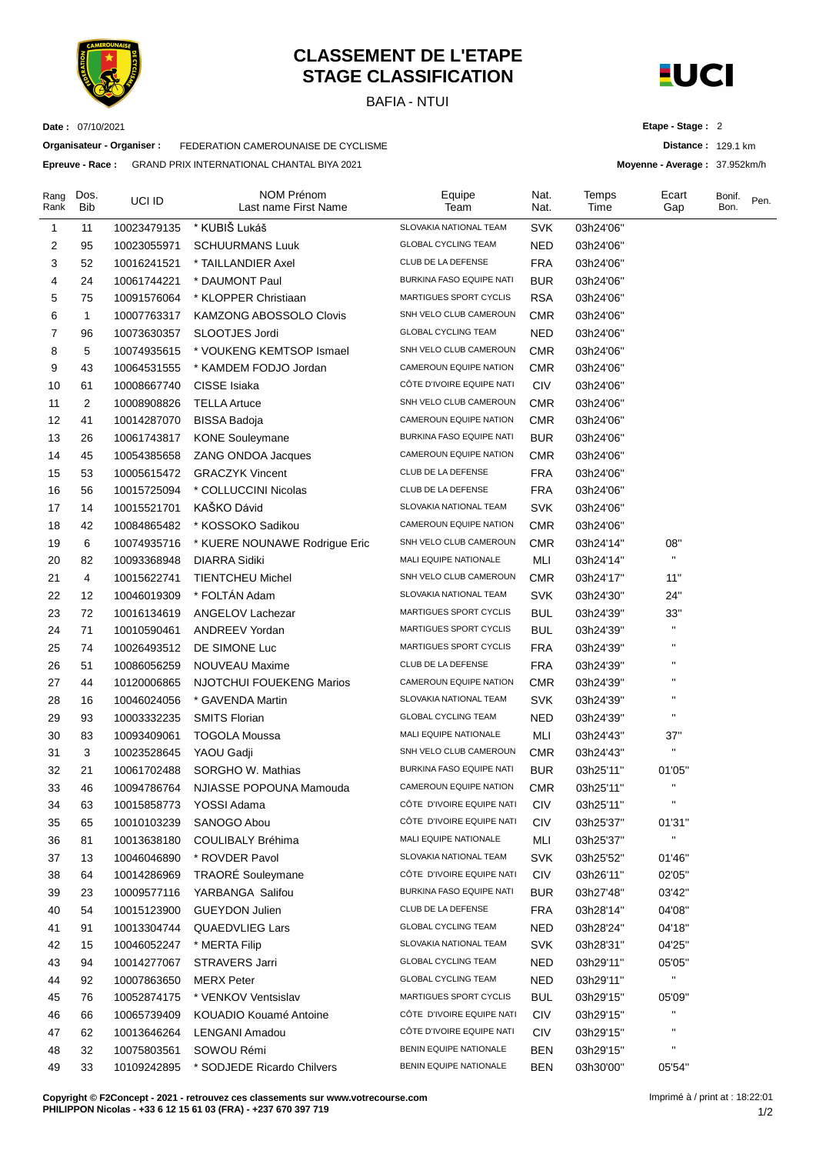

**Organisateur - Organiser :** FEDERATION CAMEROUNAISE DE CYCLISME **Epreuve - Race :** GRAND PRIX INTERNATIONAL CHANTAL BIYA 2021

**Date :** 07/10/2021

## **CLASSEMENT DE L'ETAPE STAGE CLASSIFICATION**

BAFIA - NTUI



**Etape - Stage :** 2

**Distance :** 129.1 km

**Moyenne - Average :** 37.952km/h

| Rang<br>Rank | Dos.<br>Bib | UCI ID      | NOM Prénom<br>Last name First Name | Equipe<br>Team                  | Nat.<br>Nat. | Temps<br>Time | Ecart<br>Gap   | Bonif.<br>Bon. | Pen. |
|--------------|-------------|-------------|------------------------------------|---------------------------------|--------------|---------------|----------------|----------------|------|
| 1            | 11          | 10023479135 | * KUBIŠ Lukáš                      | SLOVAKIA NATIONAL TEAM          | <b>SVK</b>   | 03h24'06"     |                |                |      |
| 2            | 95          | 10023055971 | <b>SCHUURMANS Luuk</b>             | <b>GLOBAL CYCLING TEAM</b>      | NED          | 03h24'06"     |                |                |      |
| 3            | 52          | 10016241521 | * TAILLANDIER Axel                 | CLUB DE LA DEFENSE              | <b>FRA</b>   | 03h24'06"     |                |                |      |
| 4            | 24          | 10061744221 | * DAUMONT Paul                     | <b>BURKINA FASO EQUIPE NATI</b> | <b>BUR</b>   | 03h24'06"     |                |                |      |
| 5            | 75          | 10091576064 | * KLOPPER Christiaan               | MARTIGUES SPORT CYCLIS          | <b>RSA</b>   | 03h24'06"     |                |                |      |
| 6            | 1           | 10007763317 | <b>KAMZONG ABOSSOLO Clovis</b>     | SNH VELO CLUB CAMEROUN          | <b>CMR</b>   | 03h24'06"     |                |                |      |
| 7            | 96          | 10073630357 | SLOOTJES Jordi                     | <b>GLOBAL CYCLING TEAM</b>      | <b>NED</b>   | 03h24'06"     |                |                |      |
| 8            | 5           | 10074935615 | * VOUKENG KEMTSOP Ismael           | SNH VELO CLUB CAMEROUN          | <b>CMR</b>   | 03h24'06"     |                |                |      |
| 9            | 43          | 10064531555 | * KAMDEM FODJO Jordan              | CAMEROUN EQUIPE NATION          | <b>CMR</b>   | 03h24'06"     |                |                |      |
| 10           | 61          | 10008667740 | CISSE Isiaka                       | CÔTE D'IVOIRE EQUIPE NATI       | <b>CIV</b>   | 03h24'06"     |                |                |      |
| 11           | 2           | 10008908826 | <b>TELLA Artuce</b>                | SNH VELO CLUB CAMEROUN          | <b>CMR</b>   | 03h24'06"     |                |                |      |
| 12           | 41          | 10014287070 | <b>BISSA Badoja</b>                | CAMEROUN EQUIPE NATION          | <b>CMR</b>   | 03h24'06"     |                |                |      |
| 13           | 26          | 10061743817 | <b>KONE Souleymane</b>             | BURKINA FASO EQUIPE NATI        | <b>BUR</b>   | 03h24'06"     |                |                |      |
| 14           | 45          | 10054385658 | <b>ZANG ONDOA Jacques</b>          | CAMEROUN EQUIPE NATION          | <b>CMR</b>   | 03h24'06"     |                |                |      |
| 15           | 53          | 10005615472 | <b>GRACZYK Vincent</b>             | CLUB DE LA DEFENSE              | <b>FRA</b>   | 03h24'06"     |                |                |      |
| 16           | 56          | 10015725094 | * COLLUCCINI Nicolas               | CLUB DE LA DEFENSE              | <b>FRA</b>   | 03h24'06"     |                |                |      |
| 17           | 14          | 10015521701 | KAŠKO Dávid                        | SLOVAKIA NATIONAL TEAM          | <b>SVK</b>   | 03h24'06"     |                |                |      |
| 18           | 42          | 10084865482 | * KOSSOKO Sadikou                  | CAMEROUN EQUIPE NATION          | CMR          | 03h24'06"     |                |                |      |
| 19           | 6           | 10074935716 | * KUERE NOUNAWE Rodrigue Eric      | SNH VELO CLUB CAMEROUN          | <b>CMR</b>   | 03h24'14"     | 08"            |                |      |
| 20           | 82          | 10093368948 | <b>DIARRA Sidiki</b>               | MALI EQUIPE NATIONALE           | MLI          | 03h24'14"     | $\mathbf{H}$   |                |      |
| 21           | 4           | 10015622741 | <b>TIENTCHEU Michel</b>            | SNH VELO CLUB CAMEROUN          | CMR          | 03h24'17"     | 11"            |                |      |
| 22           | 12          | 10046019309 | * FOLTÁN Adam                      | SLOVAKIA NATIONAL TEAM          | <b>SVK</b>   | 03h24'30"     | 24"            |                |      |
| 23           | 72          | 10016134619 | ANGELOV Lachezar                   | MARTIGUES SPORT CYCLIS          | <b>BUL</b>   | 03h24'39"     | 33"            |                |      |
| 24           | 71          | 10010590461 | ANDREEV Yordan                     | MARTIGUES SPORT CYCLIS          | <b>BUL</b>   | 03h24'39"     | $\mathbf{H}$   |                |      |
| 25           | 74          | 10026493512 | DE SIMONE Luc                      | MARTIGUES SPORT CYCLIS          | <b>FRA</b>   | 03h24'39"     | п              |                |      |
| 26           | 51          | 10086056259 | NOUVEAU Maxime                     | CLUB DE LA DEFENSE              | <b>FRA</b>   | 03h24'39"     |                |                |      |
| 27           | 44          | 10120006865 | NJOTCHUI FOUEKENG Marios           | CAMEROUN EQUIPE NATION          | <b>CMR</b>   | 03h24'39"     | п              |                |      |
| 28           | 16          | 10046024056 | * GAVENDA Martin                   | SLOVAKIA NATIONAL TEAM          | <b>SVK</b>   | 03h24'39"     | п              |                |      |
| 29           | 93          | 10003332235 | <b>SMITS Florian</b>               | <b>GLOBAL CYCLING TEAM</b>      | <b>NED</b>   | 03h24'39"     |                |                |      |
| 30           | 83          | 10093409061 | <b>TOGOLA Moussa</b>               | MALI EQUIPE NATIONALE           | MLI          | 03h24'43"     | 37"            |                |      |
| 31           | 3           | 10023528645 | YAOU Gadji                         | SNH VELO CLUB CAMEROUN          | <b>CMR</b>   | 03h24'43"     | $\mathbf{H}$   |                |      |
| 32           | 21          | 10061702488 | SORGHO W. Mathias                  | <b>BURKINA FASO EQUIPE NATI</b> | <b>BUR</b>   | 03h25'11"     | 01'05"         |                |      |
| 33           | 46          | 10094786764 | NJIASSE POPOUNA Mamouda            | <b>CAMEROUN EQUIPE NATION</b>   | <b>CMR</b>   | 03h25'11"     | $\blacksquare$ |                |      |
| 34           | 63          | 10015858773 | YOSSI Adama                        | CÔTE D'IVOIRE EQUIPE NATI       | <b>CIV</b>   | 03h25'11"     |                |                |      |
| 35           | 65          | 10010103239 | SANOGO Abou                        | CÔTE D'IVOIRE EQUIPE NATI       | CIV          | 03h25'37"     | 01'31"         |                |      |
| 36           | 81          | 10013638180 | COULIBALY Bréhima                  | MALI EQUIPE NATIONALE           | MLI          | 03h25'37"     | $\mathbf{H}$   |                |      |
| 37           | 13          | 10046046890 | * ROVDER Pavol                     | SLOVAKIA NATIONAL TEAM          | SVK          | 03h25'52"     | 01'46"         |                |      |
| 38           | 64          | 10014286969 | <b>TRAORÉ</b> Souleymane           | CÔTE D'IVOIRE EQUIPE NATI       | <b>CIV</b>   | 03h26'11"     | 02'05"         |                |      |
| 39           | 23          | 10009577116 | YARBANGA Salifou                   | BURKINA FASO EQUIPE NATI        | <b>BUR</b>   | 03h27'48"     | 03'42"         |                |      |
| 40           | 54          | 10015123900 | <b>GUEYDON Julien</b>              | CLUB DE LA DEFENSE              | <b>FRA</b>   | 03h28'14"     | 04'08"         |                |      |
| 41           | 91          | 10013304744 | <b>QUAEDVLIEG Lars</b>             | <b>GLOBAL CYCLING TEAM</b>      | <b>NED</b>   | 03h28'24"     | 04'18"         |                |      |
| 42           | 15          | 10046052247 | * MERTA Filip                      | SLOVAKIA NATIONAL TEAM          | SVK          | 03h28'31"     | 04'25"         |                |      |
| 43           | 94          | 10014277067 | <b>STRAVERS Jarri</b>              | <b>GLOBAL CYCLING TEAM</b>      | <b>NED</b>   | 03h29'11"     | 05'05"         |                |      |
| 44           | 92          | 10007863650 | <b>MERX Peter</b>                  | <b>GLOBAL CYCLING TEAM</b>      | NED          | 03h29'11"     | $\mathbf{H}$   |                |      |
| 45           | 76          | 10052874175 | * VENKOV Ventsislav                | MARTIGUES SPORT CYCLIS          | <b>BUL</b>   | 03h29'15"     | 05'09"         |                |      |
| 46           | 66          | 10065739409 | KOUADIO Kouamé Antoine             | CÔTE D'IVOIRE EQUIPE NATI       | <b>CIV</b>   | 03h29'15"     | $\blacksquare$ |                |      |
| 47           | 62          | 10013646264 | LENGANI Amadou                     | CÔTE D'IVOIRE EQUIPE NATI       | <b>CIV</b>   | 03h29'15"     | $\blacksquare$ |                |      |
| 48           | 32          | 10075803561 | SOWOU Rémi                         | BENIN EQUIPE NATIONALE          | <b>BEN</b>   | 03h29'15"     | $\blacksquare$ |                |      |
| 49           | 33          | 10109242895 | * SODJEDE Ricardo Chilvers         | BENIN EQUIPE NATIONALE          | <b>BEN</b>   | 03h30'00"     | 05'54"         |                |      |

**Copyright © F2Concept - 2021 - retrouvez ces classements sur www.votrecourse.com PHILIPPON Nicolas - +33 6 12 15 61 03 (FRA) - +237 670 397 719**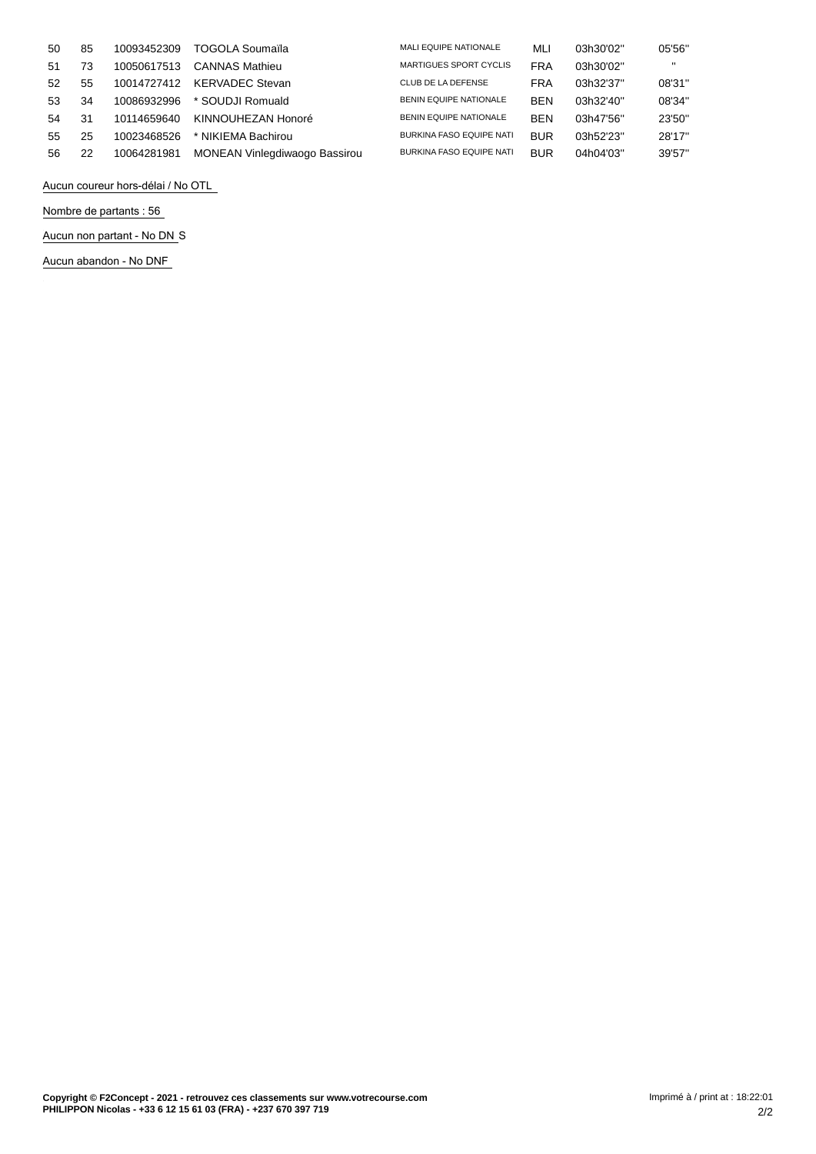| 50  | 85 | 10093452309 | TOGOLA Soumaïla               | <b>MALI EQUIPE NATIONALE</b>    | MLI        | 03h30'02" | 05'56"            |
|-----|----|-------------|-------------------------------|---------------------------------|------------|-----------|-------------------|
| -51 | 73 | 10050617513 | <b>CANNAS Mathieu</b>         | <b>MARTIGUES SPORT CYCLIS</b>   | <b>FRA</b> | 03h30'02" | $^{\prime\prime}$ |
| 52  | 55 | 10014727412 | <b>KERVADEC Stevan</b>        | CLUB DE LA DEFENSE              | <b>FRA</b> | 03h32'37" | 08'31"            |
| 53  | 34 | 10086932996 | * SOUDJI Romuald              | <b>BENIN EQUIPE NATIONALE</b>   | <b>BEN</b> | 03h32'40" | 08'34"            |
| 54  | 31 | 10114659640 | KINNOUHEZAN Honoré            | <b>BENIN EQUIPE NATIONALE</b>   | <b>BEN</b> | 03h47'56" | 23'50"            |
| 55  | 25 | 10023468526 | * NIKIEMA Bachirou            | <b>BURKINA FASO EQUIPE NATI</b> | <b>BUR</b> | 03h52'23" | 28'17"            |
| 56  | 22 | 10064281981 | MONEAN Vinlegdiwaogo Bassirou | <b>BURKINA FASO EQUIPE NATI</b> | <b>BUR</b> | 04h04'03" | 39'57"            |

**Aucun coureur hors-délai / No OTL**

**Nombre de partants : 56**

**Aucun non partant - No DN** S

**Aucun abandon - No DNF**

 $\frac{1}{2}$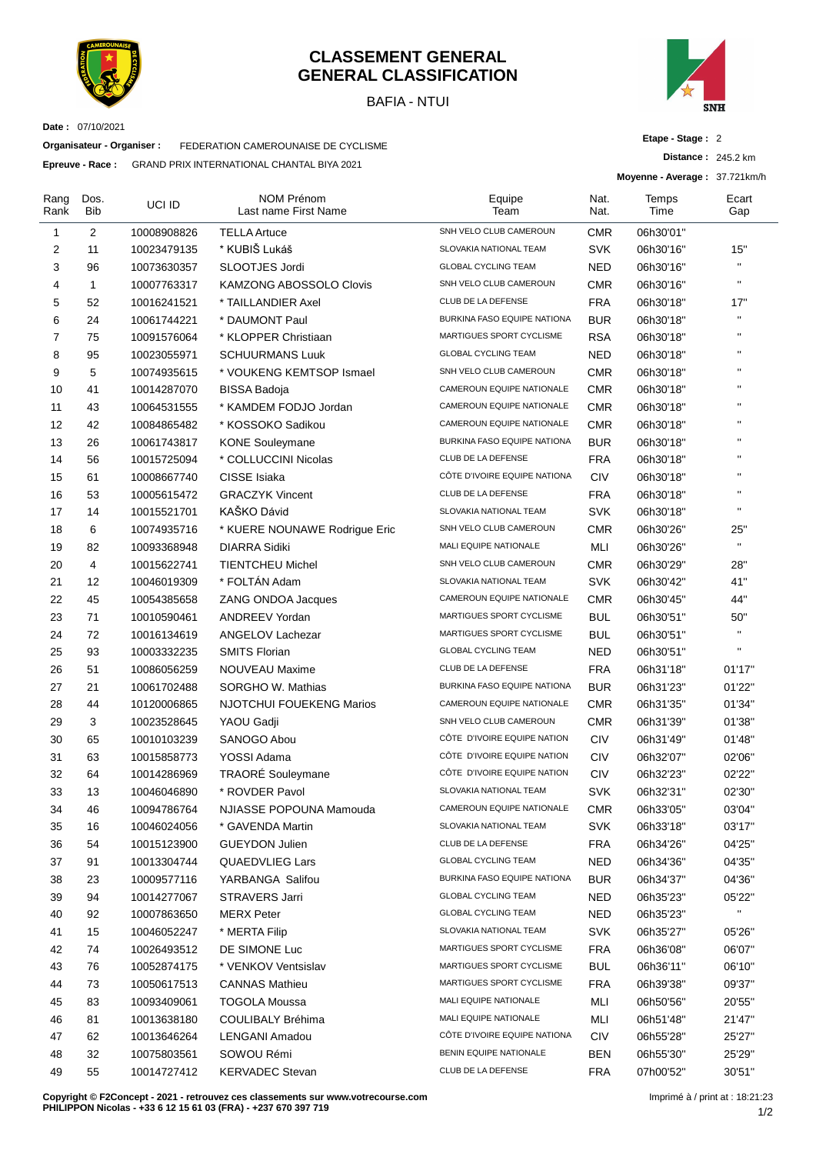

#### **CLASSEMENT GENERAL GENERAL CLASSIFICATION**

BAFIA - NTUI



**Date :** 07/10/2021

**Organisateur - Organiser :** FEDERATION CAMEROUNAISE DE CYCLISME

**Epreuve - Race :** GRAND PRIX INTERNATIONAL CHANTAL BIYA 2021

**Etape - Stage :** 2

**Distance :** 245.2 km

**Moyenne - Average :** 37.721km/h

| Rang<br>Rank   | Dos.<br>Bib | UCI ID      | NOM Prénom<br>Last name First Name | Equipe<br>Team               | Nat.<br>Nat. | Temps<br>Time | Ecart<br>Gap            |
|----------------|-------------|-------------|------------------------------------|------------------------------|--------------|---------------|-------------------------|
| 1              | 2           | 10008908826 | <b>TELLA Artuce</b>                | SNH VELO CLUB CAMEROUN       | <b>CMR</b>   | 06h30'01"     |                         |
| 2              | 11          | 10023479135 | * KUBIŠ Lukáš                      | SLOVAKIA NATIONAL TEAM       | <b>SVK</b>   | 06h30'16"     | 15"                     |
| 3              | 96          | 10073630357 | SLOOTJES Jordi                     | <b>GLOBAL CYCLING TEAM</b>   | NED          | 06h30'16"     | $\mathbf{u}$            |
| 4              | 1           | 10007763317 | <b>KAMZONG ABOSSOLO Clovis</b>     | SNH VELO CLUB CAMEROUN       | <b>CMR</b>   | 06h30'16"     | $\mathbf{u}$            |
| 5              | 52          | 10016241521 | * TAILLANDIER Axel                 | CLUB DE LA DEFENSE           | <b>FRA</b>   | 06h30'18"     | 17"                     |
| 6              | 24          | 10061744221 | * DAUMONT Paul                     | BURKINA FASO EQUIPE NATIONA  | <b>BUR</b>   | 06h30'18"     | $\mathbf{H}$            |
| $\overline{7}$ | 75          | 10091576064 | * KLOPPER Christiaan               | MARTIGUES SPORT CYCLISME     | <b>RSA</b>   | 06h30'18"     | $\mathbf{H}$            |
| 8              | 95          | 10023055971 | <b>SCHUURMANS Luuk</b>             | <b>GLOBAL CYCLING TEAM</b>   | <b>NED</b>   | 06h30'18"     | $\mathbf{H}$            |
| 9              | 5           | 10074935615 | * VOUKENG KEMTSOP Ismael           | SNH VELO CLUB CAMEROUN       | <b>CMR</b>   | 06h30'18"     | $\mathbf{H}$            |
| 10             | 41          | 10014287070 | <b>BISSA Badoja</b>                | CAMEROUN EQUIPE NATIONALE    | <b>CMR</b>   | 06h30'18"     | $\mathbf{H}$            |
| 11             | 43          | 10064531555 | * KAMDEM FODJO Jordan              | CAMEROUN EQUIPE NATIONALE    | <b>CMR</b>   | 06h30'18"     | $\mathbf{H}$            |
| 12             | 42          | 10084865482 | * KOSSOKO Sadikou                  | CAMEROUN EQUIPE NATIONALE    | <b>CMR</b>   | 06h30'18"     | $\mathbf{H}$            |
| 13             | 26          | 10061743817 | <b>KONE Souleymane</b>             | BURKINA FASO EQUIPE NATIONA  | <b>BUR</b>   | 06h30'18"     | $\mathbf{H}$            |
| 14             | 56          | 10015725094 | * COLLUCCINI Nicolas               | CLUB DE LA DEFENSE           | FRA          | 06h30'18"     | $\mathbf{H}$            |
| 15             | 61          | 10008667740 | CISSE Isiaka                       | CÔTE D'IVOIRE EQUIPE NATIONA | <b>CIV</b>   | 06h30'18"     | $\mathbf{H}$            |
| 16             | 53          | 10005615472 | <b>GRACZYK Vincent</b>             | CLUB DE LA DEFENSE           | <b>FRA</b>   | 06h30'18"     | $\mathbf{H}$            |
| 17             | 14          | 10015521701 | KAŠKO Dávid                        | SLOVAKIA NATIONAL TEAM       | <b>SVK</b>   | 06h30'18"     | $\mathbf{H}$            |
| 18             | 6           | 10074935716 | * KUERE NOUNAWE Rodrigue Eric      | SNH VELO CLUB CAMEROUN       | <b>CMR</b>   | 06h30'26"     | 25"                     |
| 19             | 82          | 10093368948 | <b>DIARRA Sidiki</b>               | MALI EQUIPE NATIONALE        | MLI          | 06h30'26"     | $\mathbf{u}$            |
| 20             | 4           | 10015622741 | <b>TIENTCHEU Michel</b>            | SNH VELO CLUB CAMEROUN       | <b>CMR</b>   | 06h30'29"     | 28"                     |
| 21             | 12          | 10046019309 | * FOLTÁN Adam                      | SLOVAKIA NATIONAL TEAM       | <b>SVK</b>   | 06h30'42"     | 41"                     |
| 22             | 45          | 10054385658 | ZANG ONDOA Jacques                 | CAMEROUN EQUIPE NATIONALE    | <b>CMR</b>   | 06h30'45"     | 44"                     |
| 23             | 71          | 10010590461 | ANDREEV Yordan                     | MARTIGUES SPORT CYCLISME     | BUL          | 06h30'51"     | 50"                     |
| 24             | 72          | 10016134619 | ANGELOV Lachezar                   | MARTIGUES SPORT CYCLISME     | BUL          | 06h30'51"     | $\mathbf{u}$            |
| 25             | 93          | 10003332235 | <b>SMITS Florian</b>               | <b>GLOBAL CYCLING TEAM</b>   | NED          | 06h30'51"     | $\mathbf{H}$            |
| 26             | 51          | 10086056259 | NOUVEAU Maxime                     | CLUB DE LA DEFENSE           | FRA          | 06h31'18"     | 01'17"                  |
| 27             | 21          | 10061702488 | SORGHO W. Mathias                  | BURKINA FASO EQUIPE NATIONA  | <b>BUR</b>   | 06h31'23"     | 01'22"                  |
| 28             | 44          | 10120006865 | <b>NJOTCHUI FOUEKENG Marios</b>    | CAMEROUN EQUIPE NATIONALE    | <b>CMR</b>   | 06h31'35"     | 01'34"                  |
| 29             | 3           | 10023528645 | YAOU Gadji                         | SNH VELO CLUB CAMEROUN       | <b>CMR</b>   | 06h31'39"     | 01'38"                  |
| 30             | 65          | 10010103239 | SANOGO Abou                        | CÔTE D'IVOIRE EQUIPE NATION  | <b>CIV</b>   | 06h31'49"     | 01'48"                  |
| 31             | 63          | 10015858773 | YOSSI Adama                        | CÔTE D'IVOIRE EQUIPE NATION  | <b>CIV</b>   | 06h32'07"     | 02'06"                  |
| 32             | 64          | 10014286969 | TRAORÉ Souleymane                  | CÔTE D'IVOIRE EQUIPE NATION  | <b>CIV</b>   | 06h32'23"     | 02'22"                  |
| 33             | 13          | 10046046890 | * ROVDER Pavol                     | SLOVAKIA NATIONAL TEAM       | <b>SVK</b>   | 06h32'31"     | 02'30"                  |
| 34             | 46          | 10094786764 | NJIASSE POPOUNA Mamouda            | CAMEROUN EQUIPE NATIONALE    | <b>CMR</b>   | 06h33'05"     | 03'04"                  |
| 35             | 16          | 10046024056 | * GAVENDA Martin                   | SLOVAKIA NATIONAL TEAM       | <b>SVK</b>   | 06h33'18"     | 03'17"                  |
| 36             | 54          | 10015123900 | <b>GUEYDON Julien</b>              | CLUB DE LA DEFENSE           | <b>FRA</b>   | 06h34'26"     | 04'25"                  |
| 37             | 91          | 10013304744 | <b>QUAEDVLIEG Lars</b>             | <b>GLOBAL CYCLING TEAM</b>   | <b>NED</b>   | 06h34'36"     | 04'35"                  |
| 38             | 23          | 10009577116 | YARBANGA Salifou                   | BURKINA FASO EQUIPE NATIONA  | <b>BUR</b>   | 06h34'37"     | 04'36"                  |
| 39             | 94          | 10014277067 | STRAVERS Jarri                     | <b>GLOBAL CYCLING TEAM</b>   | <b>NED</b>   | 06h35'23"     | 05'22"                  |
| 40             | 92          | 10007863650 | <b>MERX Peter</b>                  | <b>GLOBAL CYCLING TEAM</b>   | <b>NED</b>   | 06h35'23"     | $\mathbf{H}_\mathrm{c}$ |
| 41             | 15          | 10046052247 | * MERTA Filip                      | SLOVAKIA NATIONAL TEAM       | <b>SVK</b>   | 06h35'27"     | 05'26"                  |
| 42             | 74          | 10026493512 | DE SIMONE Luc                      | MARTIGUES SPORT CYCLISME     | FRA          | 06h36'08"     | 06'07"                  |
| 43             | 76          | 10052874175 | * VENKOV Ventsislav                | MARTIGUES SPORT CYCLISME     | BUL          | 06h36'11"     | 06'10"                  |
| 44             | 73          | 10050617513 | <b>CANNAS Mathieu</b>              | MARTIGUES SPORT CYCLISME     | FRA          | 06h39'38"     | 09'37"                  |
| 45             | 83          | 10093409061 | <b>TOGOLA Moussa</b>               | MALI EQUIPE NATIONALE        | MLI          | 06h50'56"     | 20'55"                  |
| 46             | 81          | 10013638180 | COULIBALY Bréhima                  | MALI EQUIPE NATIONALE        | MLI          | 06h51'48"     | 21'47"                  |
| 47             | 62          | 10013646264 | LENGANI Amadou                     | CÔTE D'IVOIRE EQUIPE NATIONA | <b>CIV</b>   | 06h55'28"     | 25'27"                  |
| 48             | 32          | 10075803561 | SOWOU Rémi                         | BENIN EQUIPE NATIONALE       | <b>BEN</b>   | 06h55'30"     | 25'29"                  |
| 49             | 55          | 10014727412 | <b>KERVADEC Stevan</b>             | CLUB DE LA DEFENSE           | <b>FRA</b>   | 07h00'52"     | 30'51"                  |
|                |             |             |                                    |                              |              |               |                         |

**Copyright © F2Concept - 2021 - retrouvez ces classements sur www.votrecourse.com PHILIPPON Nicolas - +33 6 12 15 61 03 (FRA) - +237 670 397 719**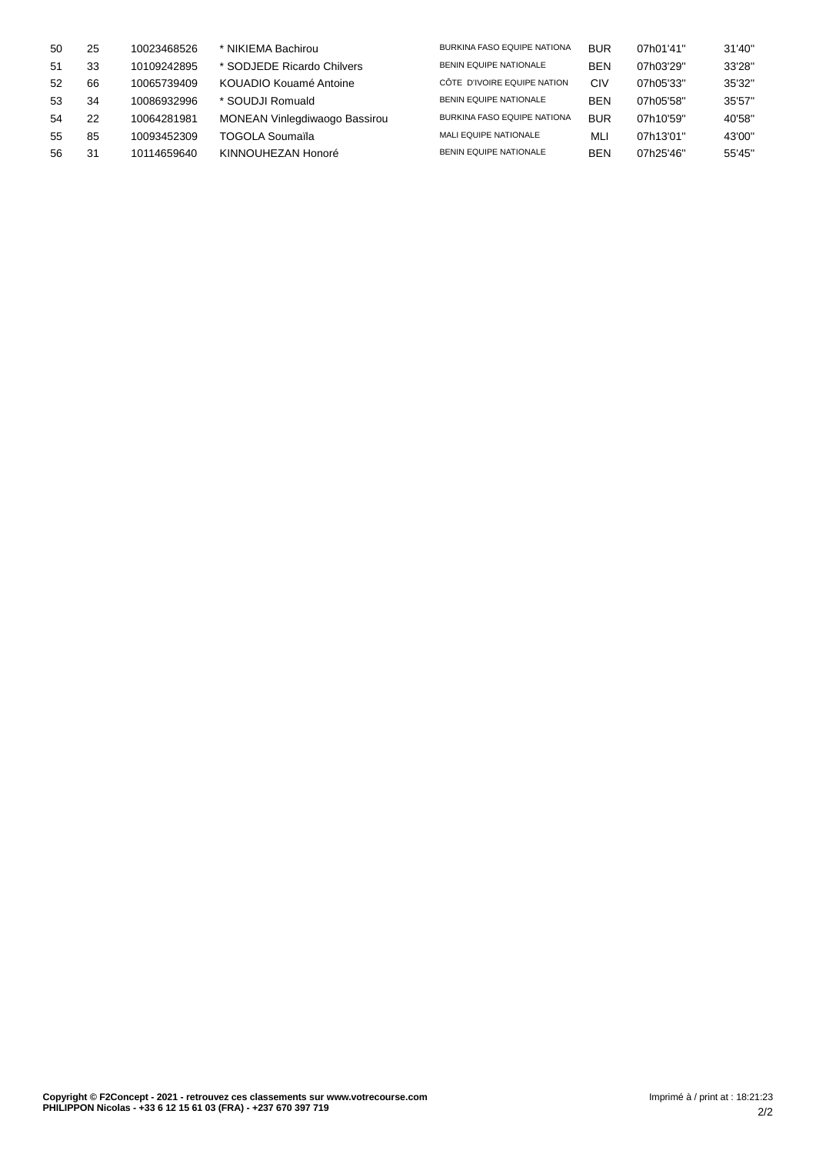| 50 | 25 | 10023468526 | * NIKIEMA Bachirou            | BURKINA FASO EQUIPE NATIONA        | <b>BUR</b> | 07h01'41" | 31'40" |
|----|----|-------------|-------------------------------|------------------------------------|------------|-----------|--------|
| 51 | 33 | 10109242895 | * SODJEDE Ricardo Chilvers    | <b>BENIN EQUIPE NATIONALE</b>      | <b>BEN</b> | 07h03'29" | 33'28" |
| 52 | 66 | 10065739409 | KOUADIO Kouamé Antoine        | CÔTE D'IVOIRE EQUIPE NATION        | CIV        | 07h05'33" | 35'32" |
| 53 | 34 | 10086932996 | * SOUDJI Romuald              | <b>BENIN EQUIPE NATIONALE</b>      | <b>BEN</b> | 07h05'58" | 35'57" |
| 54 | 22 | 10064281981 | MONEAN Vinlegdiwaogo Bassirou | <b>BURKINA FASO EQUIPE NATIONA</b> | <b>BUR</b> | 07h10'59" | 40'58" |
| 55 | 85 | 10093452309 | TOGOLA Soumaïla               | MALI EQUIPE NATIONALE              | MLI        | 07h13'01" | 43'00" |
| 56 | 31 | 10114659640 | KINNOUHEZAN Honoré            | <b>BENIN EQUIPE NATIONALE</b>      | <b>BEN</b> | 07h25'46" | 55'45" |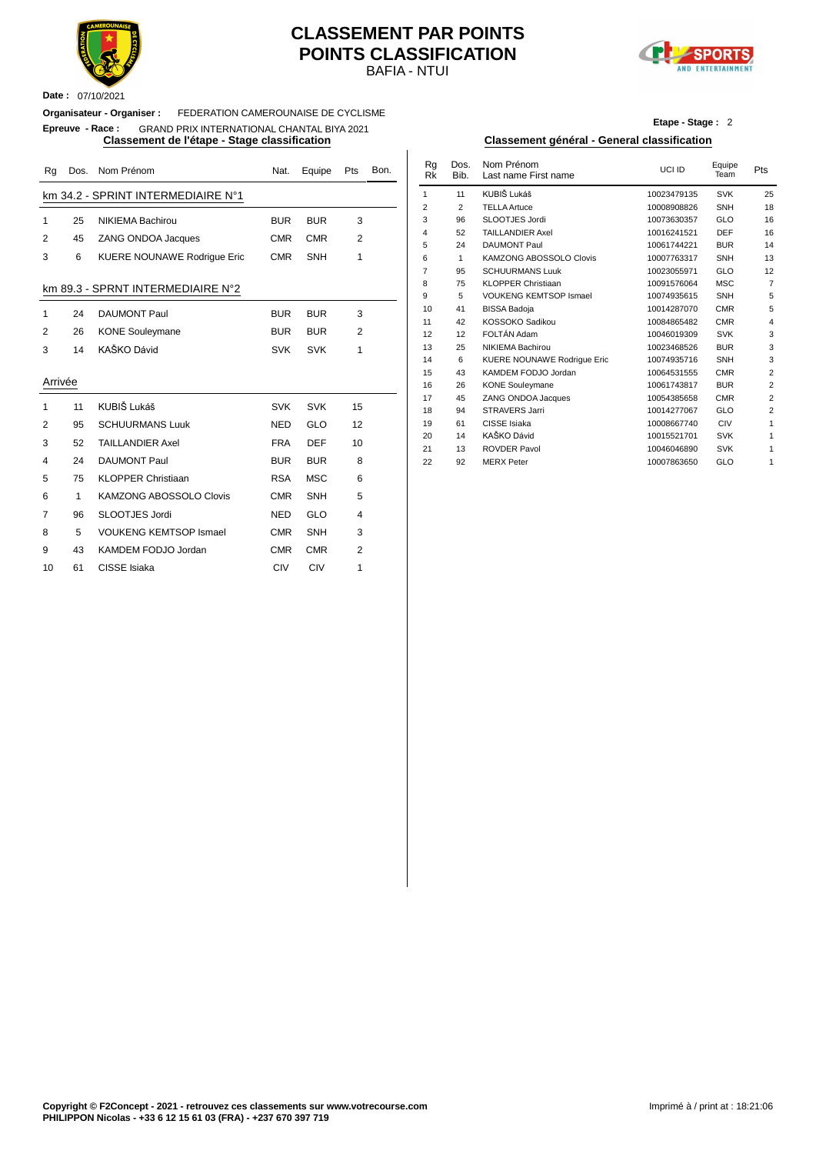

#### BAFIA - NTUI **CLASSEMENT PAR POINTS POINTS CLASSIFICATION**



**Date :** 07/10/2021

#### **Organisateur - Organiser :** FEDERATION CAMEROUNAISE DE CYCLISME

### **Epreuve - Race :** GRAND PRIX INTERNATIONAL CHANTAL BIYA 2021

| Rg             | Dos. | Nom Prénom                         | Nat.       | Equipe     | Pts            | Bon. | Rq<br><b>Rk</b> | Dos.<br>Bib.   | Nom Prénom<br>Last name First name | UCI ID                     | Equipe<br>Team    | Pts |
|----------------|------|------------------------------------|------------|------------|----------------|------|-----------------|----------------|------------------------------------|----------------------------|-------------------|-----|
|                |      | km 34.2 - SPRINT INTERMEDIAIRE N°1 |            |            |                |      | $\mathbf{1}$    | 11             | KUBIŠ Lukáš                        | 10023479135                | <b>SVK</b>        | 25  |
|                |      |                                    |            |            |                |      | $\overline{2}$  | $\overline{2}$ | <b>TELLA Artuce</b>                | 10008908826                | SNH               | 18  |
| 1              | 25   | <b>NIKIEMA Bachirou</b>            | <b>BUR</b> | <b>BUR</b> | 3              |      | 3               | 96             | SLOOTJES Jordi                     | 10073630357                | GLO               | 16  |
| $\overline{2}$ | 45   | <b>ZANG ONDOA Jacques</b>          | <b>CMR</b> | <b>CMR</b> | 2              |      | $\overline{4}$  | 52             | <b>TAILLANDIER Axel</b>            | 10016241521                | <b>DEF</b>        | 16  |
|                |      |                                    |            |            |                |      | 5               | 24             | <b>DAUMONT Paul</b>                | 10061744221                | <b>BUR</b>        | 14  |
| 3              | 6    | <b>KUERE NOUNAWE Rodrique Eric</b> | <b>CMR</b> | <b>SNH</b> | $\mathbf{1}$   |      | 6               | $\mathbf{1}$   | KAMZONG ABOSSOLO Clovis            | 10007763317                | SNH               | 13  |
|                |      |                                    |            |            |                |      | $\overline{7}$  | 95             | <b>SCHUURMANS Luuk</b>             | 10023055971                | GLO               | 12  |
|                |      | km 89.3 - SPRNT INTERMEDIAIRE N°2  |            |            |                |      | 8               | 75             | <b>KLOPPER Christiaan</b>          | 10091576064                | <b>MSC</b>        |     |
|                |      |                                    |            |            |                |      | 9               | 5              | <b>VOUKENG KEMTSOP Ismael</b>      | 10074935615                | SNH               |     |
| 1              | 24   | <b>DAUMONT Paul</b>                | <b>BUR</b> | <b>BUR</b> | 3              |      | 10              | 41             | <b>BISSA Badoja</b>                | 10014287070                | <b>CMR</b>        |     |
|                |      |                                    |            |            |                |      | 11              | 42             | KOSSOKO Sadikou                    | 10084865482                | <b>CMR</b>        |     |
| 2              | 26   | <b>KONE Souleymane</b>             | <b>BUR</b> | <b>BUR</b> | $\overline{2}$ |      | 12              | 12             | FOLTÁN Adam                        | 10046019309                | <b>SVK</b>        |     |
| 3              | 14   | KAŠKO Dávid                        | <b>SVK</b> | <b>SVK</b> | $\mathbf{1}$   |      | 13              | 25             | <b>NIKIEMA Bachirou</b>            | 10023468526                | <b>BUR</b>        |     |
|                |      |                                    |            |            |                |      | 14              | 6              | <b>KUERE NOUNAWE Rodrique Eric</b> | 10074935716                | SNH               |     |
| Arrivée        |      |                                    |            |            |                |      | 15              | 43             | KAMDEM FODJO Jordan                | 10064531555                | <b>CMR</b>        |     |
|                |      |                                    |            |            |                |      | 16              | 26             | <b>KONE Souleymane</b>             | 10061743817                | <b>BUR</b>        |     |
| 1              | 11   | KUBIŠ Lukáš                        | <b>SVK</b> | <b>SVK</b> | 15             |      | 17              | 45             | ZANG ONDOA Jacques                 | 10054385658                | <b>CMR</b>        |     |
|                |      |                                    |            |            |                |      | 18              | 94             | STRAVERS Jarri                     | 10014277067                | GLO               |     |
| $\overline{2}$ | 95   | <b>SCHUURMANS Luuk</b>             | <b>NED</b> | GLO        | 12             |      | 19              | 61             | CISSE Isiaka                       | 10008667740                | CIV               |     |
| 3              | 52   | <b>TAILLANDIER Axel</b>            | <b>FRA</b> | <b>DEF</b> | 10             |      | 20              | 14             | KAŠKO Dávid<br><b>ROVDER Pavol</b> | 10015521701                | <b>SVK</b>        |     |
| 4              | 24   | <b>DAUMONT Paul</b>                | <b>BUR</b> | <b>BUR</b> | 8              |      | 21<br>22        | 13<br>92       | <b>MERX Peter</b>                  | 10046046890<br>10007863650 | <b>SVK</b><br>GLO |     |
| 5              | 75   | <b>KLOPPER Christiaan</b>          | <b>RSA</b> | <b>MSC</b> | 6              |      |                 |                |                                    |                            |                   |     |
| 6              |      | KAMZONG ABOSSOLO Clovis            | <b>CMR</b> | SNH        | 5              |      |                 |                |                                    |                            |                   |     |
| 7              | 96   | SLOOTJES Jordi                     | <b>NED</b> | GLO        | $\overline{4}$ |      |                 |                |                                    |                            |                   |     |
| 8              | 5    | <b>VOUKENG KEMTSOP Ismael</b>      | <b>CMR</b> | <b>SNH</b> | 3              |      |                 |                |                                    |                            |                   |     |
| 9              | 43   | KAMDEM FODJO Jordan                | <b>CMR</b> | <b>CMR</b> | 2              |      |                 |                |                                    |                            |                   |     |
| 10             | 61   | CISSE Isiaka                       | CIV        | <b>CIV</b> | 1              |      |                 |                |                                    |                            |                   |     |

**Etape - Stage :** 2

#### **Classement de l'étape - Stage classification Classement général - General classification**

| Nat.       | Equipe     | Pts            | Bon. | Rg<br>Rk       | Dos.<br>Bib. | Nom Prénom<br>Last name First name | UCI ID      | Equipe<br>Team | Pts            |
|------------|------------|----------------|------|----------------|--------------|------------------------------------|-------------|----------------|----------------|
|            |            |                |      | 1              | 11           | KUBIŠ Lukáš                        | 10023479135 | <b>SVK</b>     | 25             |
|            |            |                |      | $\overline{2}$ | 2            | <b>TELLA Artuce</b>                | 10008908826 | <b>SNH</b>     | 18             |
| <b>BUR</b> | <b>BUR</b> | 3              |      | 3              | 96           | SLOOTJES Jordi                     | 10073630357 | GLO            | 16             |
|            |            |                |      | 4              | 52           | <b>TAILLANDIER Axel</b>            | 10016241521 | <b>DEF</b>     | 16             |
| CMR        | <b>CMR</b> | $\overline{2}$ |      | 5              | 24           | <b>DAUMONT Paul</b>                | 10061744221 | <b>BUR</b>     | 14             |
| CMR        | <b>SNH</b> | 1              |      | 6              | $\mathbf{1}$ | <b>KAMZONG ABOSSOLO Clovis</b>     | 10007763317 | <b>SNH</b>     | 13             |
|            |            |                |      | 7              | 95           | <b>SCHUURMANS Luuk</b>             | 10023055971 | GLO            | 12             |
|            |            |                |      | 8              | 75           | <b>KLOPPER Christiaan</b>          | 10091576064 | <b>MSC</b>     | $\overline{7}$ |
|            |            |                |      | 9              | 5            | <b>VOUKENG KEMTSOP Ismael</b>      | 10074935615 | <b>SNH</b>     | 5              |
| <b>BUR</b> | <b>BUR</b> | 3              |      | 10             | 41           | <b>BISSA Badoja</b>                | 10014287070 | <b>CMR</b>     | 5              |
|            |            |                |      | 11             | 42           | KOSSOKO Sadikou                    | 10084865482 | <b>CMR</b>     | $\overline{4}$ |
| <b>BUR</b> | <b>BUR</b> | 2              |      | 12             | 12           | FOLTÁN Adam                        | 10046019309 | <b>SVK</b>     | 3              |
| <b>SVK</b> | <b>SVK</b> | 1              |      | 13             | 25           | NIKIEMA Bachirou                   | 10023468526 | <b>BUR</b>     | 3              |
|            |            |                |      | 14             | 6            | <b>KUERE NOUNAWE Rodrique Eric</b> | 10074935716 | <b>SNH</b>     | 3              |
|            |            |                |      | 15             | 43           | KAMDEM FODJO Jordan                | 10064531555 | <b>CMR</b>     | $\overline{2}$ |
|            |            |                |      | 16             | 26           | <b>KONE Souleymane</b>             | 10061743817 | <b>BUR</b>     | $\overline{2}$ |
|            |            |                |      | 17             | 45           | ZANG ONDOA Jacques                 | 10054385658 | <b>CMR</b>     | $\overline{2}$ |
| <b>SVK</b> | <b>SVK</b> | 15             |      | 18             | 94           | <b>STRAVERS Jarri</b>              | 10014277067 | GLO            | $\overline{2}$ |
| NED        | <b>GLO</b> | 12             |      | 19             | 61           | CISSE Isiaka                       | 10008667740 | CIV            | 1              |
|            |            |                |      | 20             | 14           | KAŠKO Dávid                        | 10015521701 | <b>SVK</b>     | 1              |
| FRA        | <b>DEF</b> | 10             |      | 21             | 13           | <b>ROVDER Pavol</b>                | 10046046890 | <b>SVK</b>     | 1              |
| <b>BUR</b> | <b>BUR</b> | 8              |      | 22             | 92           | <b>MERX</b> Peter                  | 10007863650 | GLO            | 1              |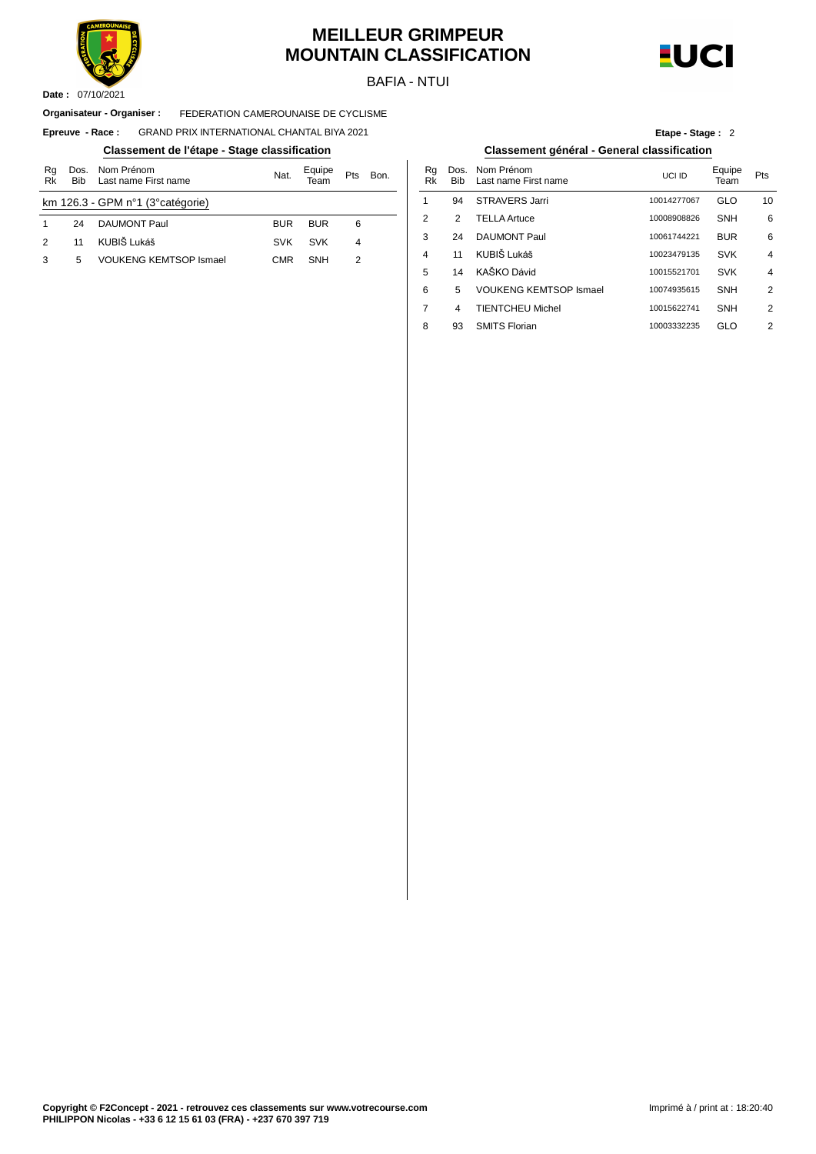

### **MEILLEUR GRIMPEUR MOUNTAIN CLASSIFICATION**

BAFIA - NTUI



07/10/2021 **Date :**

#### FEDERATION CAMEROUNAISE DE CYCLISME **Organisateur - Organiser :**

 $E$ preuve - **Race** : GRAND PRIX INTERNATIONAL CHANTAL BIYA 2021

#### **Classement de l'étape - Stage classification Classement général - General classification**

| Rg<br>Rk | <b>Bib</b> | Dos. Nom Prénom<br>Last name First name | Nat.       | Equipe<br>Team | Pts | Bon. | Rg<br>Rk       | Dos<br>Bit     |
|----------|------------|-----------------------------------------|------------|----------------|-----|------|----------------|----------------|
|          |            | km 126.3 - GPM n°1 (3° catégorie)       |            |                |     |      |                | 94             |
|          | 24         | <b>DAUMONT Paul</b>                     | <b>BUR</b> | <b>BUR</b>     | 6   |      | $\overline{2}$ | 2              |
|          | 11         | KUBIŠ Lukáš                             | <b>SVK</b> | <b>SVK</b>     | 4   |      | 3              | 24             |
| 3        | 5          | <b>VOUKENG KEMTSOP Ismael</b>           | <b>CMR</b> | <b>SNH</b>     | 2   |      | 4              | 11             |
|          |            |                                         |            |                |     |      | Е              | 1 <sub>1</sub> |

| Etape - Stage: 2 |  |  |
|------------------|--|--|
|                  |  |  |

| Bon. |   | Rq<br>Rk | Dos.<br><b>Bib</b> | Nom Prénom<br>Last name First name | UCLID       | Equipe<br>Team | Pts            |
|------|---|----------|--------------------|------------------------------------|-------------|----------------|----------------|
|      | 1 |          | 94                 | <b>STRAVERS Jarri</b>              | 10014277067 | GLO            | 10             |
|      | 2 |          | 2                  | <b>TELLA Artuce</b>                | 10008908826 | <b>SNH</b>     | 6              |
|      | 3 |          | 24                 | <b>DAUMONT Paul</b>                | 10061744221 | <b>BUR</b>     | 6              |
|      | 4 |          | 11                 | KUBIŠ Lukáš                        | 10023479135 | <b>SVK</b>     | $\overline{4}$ |
|      | 5 |          | 14                 | KAŠKO Dávid                        | 10015521701 | <b>SVK</b>     | $\overline{4}$ |
|      | 6 |          | 5                  | <b>VOUKENG KEMTSOP Ismael</b>      | 10074935615 | <b>SNH</b>     | 2              |
|      | 7 |          | 4                  | <b>TIENTCHEU Michel</b>            | 10015622741 | <b>SNH</b>     | 2              |
|      | 8 |          | 93                 | <b>SMITS Florian</b>               | 10003332235 | GLO            | 2              |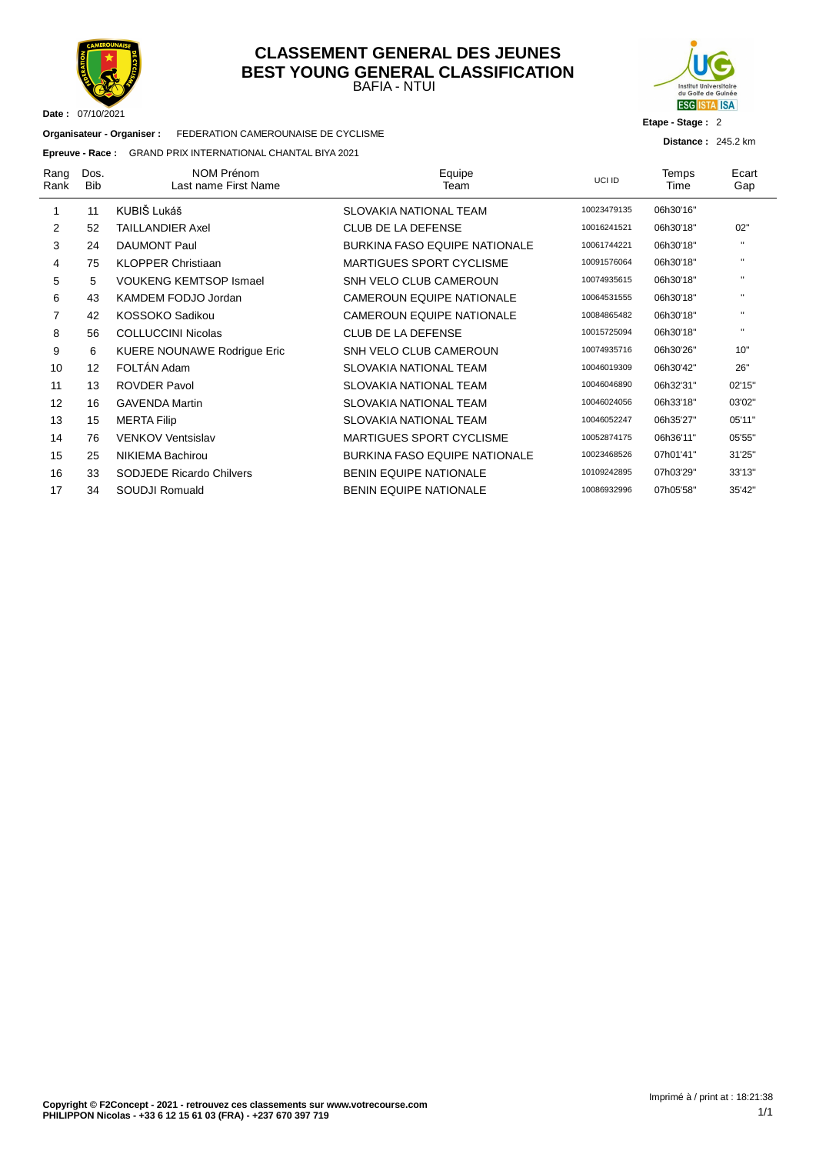

#### BAFIA - NTUI **CLASSEMENT GENERAL DES JEUNES BEST YOUNG GENERAL CLASSIFICATION**



**Etape - Stage :** 2

**Distance :** 245.2 km

| Organisateur - Organiser : | FEDERATION CAMEROUNAISE DE CYCLISME |
|----------------------------|-------------------------------------|
|                            |                                     |

#### **Epreuve - Race :** GRAND PRIX INTERNATIONAL CHANTAL BIYA 2021

| Rang<br>Rank | Dos.<br><b>Bib</b> | <b>NOM Prénom</b><br>Last name First Name | Equipe<br>Team                       | <b>UCLID</b> | Temps<br>Time | Ecart<br>Gap   |
|--------------|--------------------|-------------------------------------------|--------------------------------------|--------------|---------------|----------------|
|              | 11                 | KUBIŠ Lukáš                               | SLOVAKIA NATIONAL TEAM               | 10023479135  | 06h30'16"     |                |
| 2            | 52                 | <b>TAILLANDIER Axel</b>                   | <b>CLUB DE LA DEFENSE</b>            | 10016241521  | 06h30'18"     | 02"            |
| 3            | 24                 | <b>DAUMONT Paul</b>                       | <b>BURKINA FASO EQUIPE NATIONALE</b> | 10061744221  | 06h30'18"     | $\mathbf{H}$   |
| 4            | 75                 | <b>KLOPPER Christiaan</b>                 | <b>MARTIGUES SPORT CYCLISME</b>      | 10091576064  | 06h30'18"     | $\mathbf{H}$   |
| 5            | 5                  | <b>VOUKENG KEMTSOP Ismael</b>             | SNH VELO CLUB CAMEROUN               | 10074935615  | 06h30'18"     | $\mathbf{H}$   |
| 6            | 43                 | KAMDEM FODJO Jordan                       | <b>CAMEROUN EQUIPE NATIONALE</b>     | 10064531555  | 06h30'18"     | $\mathbf{H}$   |
| 7            | 42                 | KOSSOKO Sadikou                           | <b>CAMEROUN EQUIPE NATIONALE</b>     | 10084865482  | 06h30'18"     | $\mathbf{H}$   |
| 8            | 56                 | <b>COLLUCCINI Nicolas</b>                 | <b>CLUB DE LA DEFENSE</b>            | 10015725094  | 06h30'18"     | $\blacksquare$ |
| 9            | 6                  | <b>KUERE NOUNAWE Rodrigue Eric</b>        | SNH VELO CLUB CAMEROUN               | 10074935716  | 06h30'26"     | 10"            |
| 10           | 12 <sup>2</sup>    | FOLTÁN Adam                               | SLOVAKIA NATIONAL TEAM               | 10046019309  | 06h30'42"     | 26"            |
| 11           | 13                 | <b>ROVDER Pavol</b>                       | SLOVAKIA NATIONAL TEAM               | 10046046890  | 06h32'31"     | 02'15"         |
| 12           | 16                 | <b>GAVENDA Martin</b>                     | SLOVAKIA NATIONAL TEAM               | 10046024056  | 06h33'18"     | 03'02"         |
| 13           | 15                 | <b>MERTA Filip</b>                        | SLOVAKIA NATIONAL TEAM               | 10046052247  | 06h35'27"     | 05'11"         |
| 14           | 76                 | <b>VENKOV Ventsislav</b>                  | <b>MARTIGUES SPORT CYCLISME</b>      | 10052874175  | 06h36'11"     | 05'55"         |
| 15           | 25                 | NIKIEMA Bachirou                          | <b>BURKINA FASO EQUIPE NATIONALE</b> | 10023468526  | 07h01'41"     | 31'25"         |
| 16           | 33                 | <b>SODJEDE Ricardo Chilvers</b>           | <b>BENIN EQUIPE NATIONALE</b>        | 10109242895  | 07h03'29"     | 33'13"         |
| 17           | 34                 | SOUDJI Romuald                            | <b>BENIN EQUIPE NATIONALE</b>        | 10086932996  | 07h05'58"     | 35'42"         |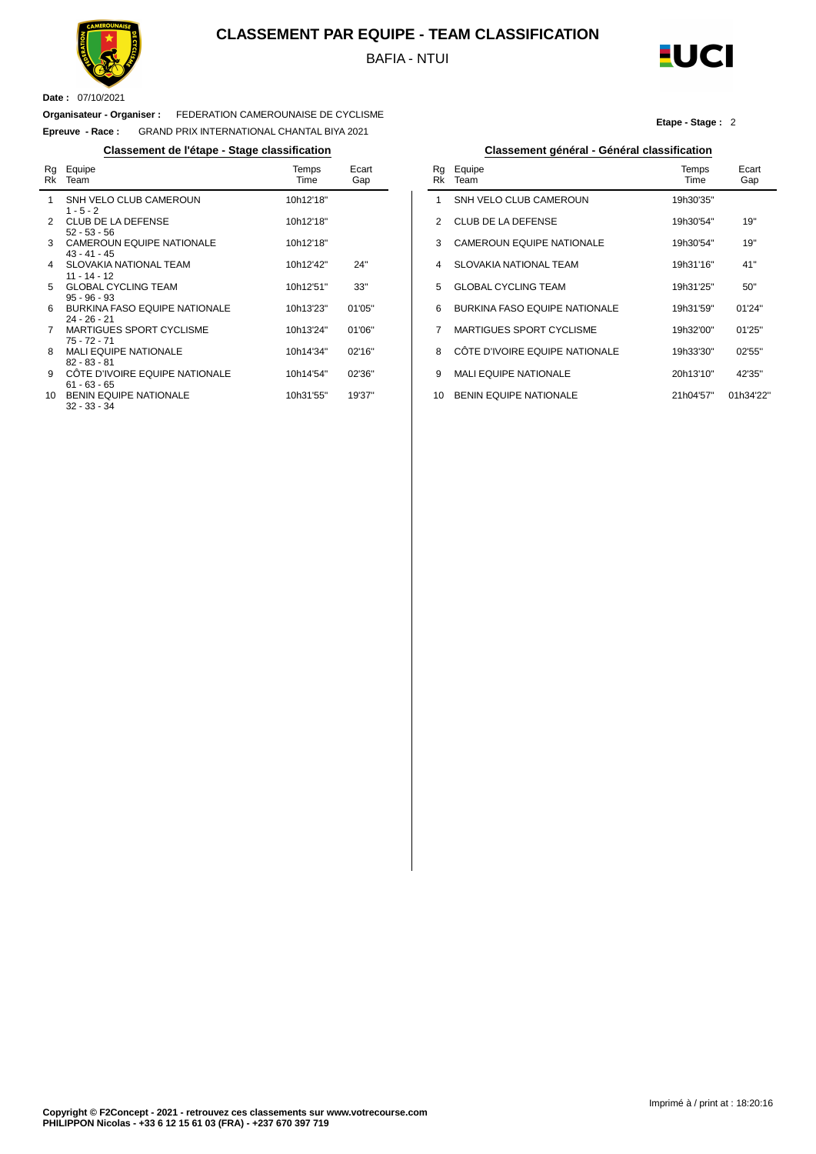

#### **CLASSEMENT PAR EQUIPE - TEAM CLASSIFICATION**

BAFIA - NTUI

 $\overline{a}$ 



**Etape - Stage :** 2

**Date :** 07/10/2021

 $\overline{a}$ 

#### **Organisateur - Organiser :** FEDERATION CAMEROUNAISE DE CYCLISME

**Epreuve - Race :** GRAND PRIX INTERNATIONAL CHANTAL BIYA 2021

#### **Classement de l'étape - Stage classification Classement général - Général classification**

| Rg<br>Rk      | Equipe<br>Team                                         | Temps<br>Time | Ecart<br>Gap |
|---------------|--------------------------------------------------------|---------------|--------------|
| 1             | SNH VELO CLUB CAMEROUN<br>$1 - 5 - 2$                  | 10h12'18"     |              |
| $\mathcal{P}$ | <b>CLUB DE LA DEFENSE</b><br>$52 - 53 - 56$            | 10h12'18"     |              |
| 3             | <b>CAMEROUN EQUIPE NATIONALE</b><br>43 - 41 - 45       | 10h12'18"     |              |
| 4             | <b>SLOVAKIA NATIONAL TEAM</b><br>$11 - 14 - 12$        | 10h12'42"     | 24"          |
| 5             | <b>GLOBAL CYCLING TEAM</b><br>$95 - 96 - 93$           | 10h12'51"     | 33"          |
| 6             | <b>BURKINA FASO EQUIPE NATIONALE</b><br>$24 - 26 - 21$ | 10h13'23"     | 01'05"       |
| 7             | <b>MARTIGUES SPORT CYCLISME</b><br>$75 - 72 - 71$      | 10h13'24"     | 01'06"       |
| 8             | <b>MALI EQUIPE NATIONALE</b><br>$82 - 83 - 81$         | 10h14'34"     | 02'16''      |
| 9             | CÔTE D'IVOIRE EQUIPE NATIONALE<br>$61 - 63 - 65$       | 10h14'54"     | 02'36"       |
| 10            | <b>BENIN EQUIPE NATIONALE</b><br>$32 - 33 - 34$        | 10h31'55"     | 19'37"       |

| Rq<br>Rk | Equipe<br>Team                       | Temps<br>Time | Ecart<br>Gap |
|----------|--------------------------------------|---------------|--------------|
| 1        | SNH VELO CLUB CAMEROUN               | 19h30'35"     |              |
| 2        | <b>CLUB DE LA DEFENSE</b>            | 19h30'54"     | 19"          |
| 3        | <b>CAMEROUN EQUIPE NATIONALE</b>     | 19h30'54"     | 19"          |
| 4        | SI OVAKIA NATIONAL TEAM              | 19h31'16"     | 41"          |
| 5        | <b>GLOBAL CYCLING TEAM</b>           | 19h31'25"     | 50"          |
| 6        | <b>BURKINA FASO EQUIPE NATIONALE</b> | 19h31'59"     | 01'24"       |
| 7        | <b>MARTIGUES SPORT CYCLISME</b>      | 19h32'00"     | 01'25"       |
| 8        | CÔTE D'IVOIRE EQUIPE NATIONALE       | 19h33'30"     | 02'55''      |
| 9        | <b>MALI EQUIPE NATIONALE</b>         | 20h13'10"     | 42'35"       |
| 10       | <b>BENIN EQUIPE NATIONALE</b>        | 21h04'57"     | 01h34'22"    |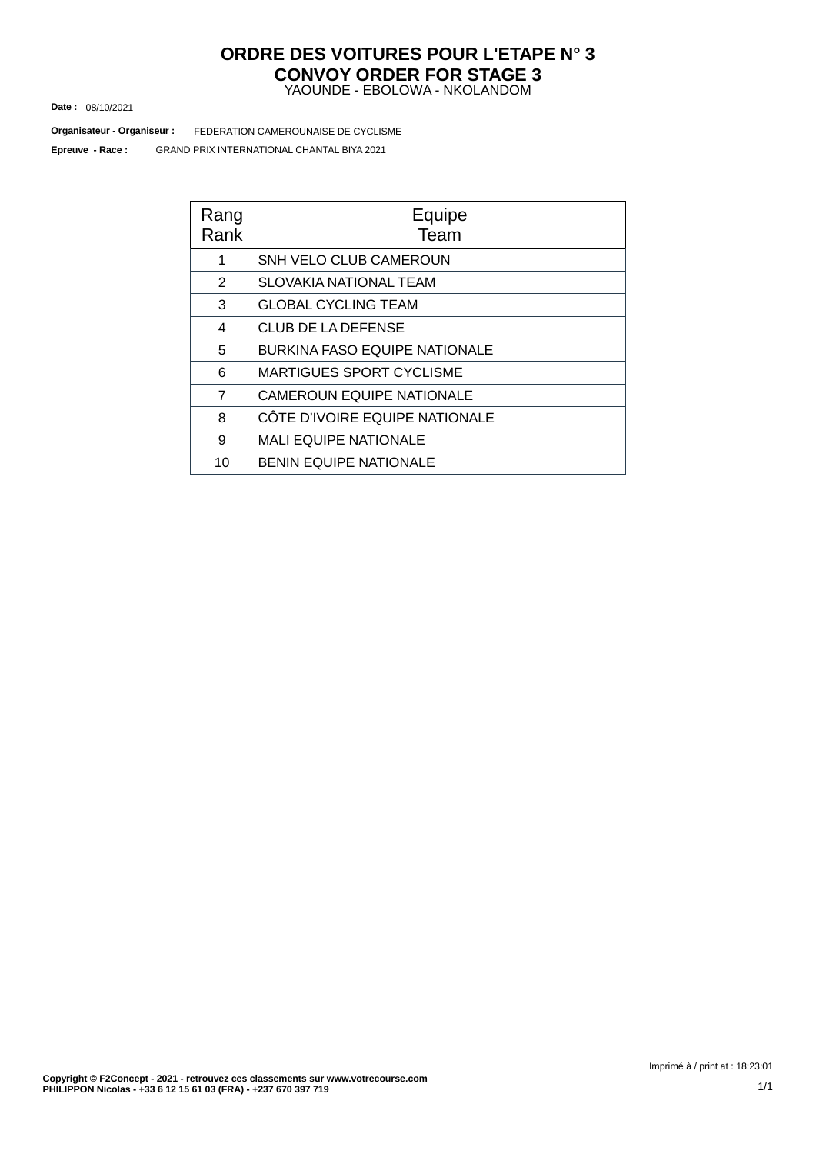#### YAOUNDE - EBOLOWA - NKOLANDOM **ORDRE DES VOITURES POUR L'ETAPE N° 3 CONVOY ORDER FOR STAGE 3**

08/10/2021 **Date :**

GRAND PRIX INTERNATIONAL CHANTAL BIYA 2021 FEDERATION CAMEROUNAISE DE CYCLISME **Organisateur - Organiseur : Epreuve - Race :**

| Rang<br>Rank   | Equipe<br>Team                       |
|----------------|--------------------------------------|
| 1              | SNH VELO CLUB CAMEROUN               |
| 2              | SLOVAKIA NATIONAL TEAM               |
| 3              | <b>GLOBAL CYCLING TEAM</b>           |
| 4              | <b>CLUB DE LA DEFENSE</b>            |
| 5              | <b>BURKINA FASO EQUIPE NATIONALE</b> |
| 6              | MARTIGUES SPORT CYCLISME             |
| $\overline{7}$ | <b>CAMEROUN EQUIPE NATIONALE</b>     |
| 8              | CÔTE D'IVOIRE EQUIPE NATIONALE       |
| 9              | <b>MALI EQUIPE NATIONALE</b>         |
| 10             | <b>BENIN EQUIPE NATIONALE</b>        |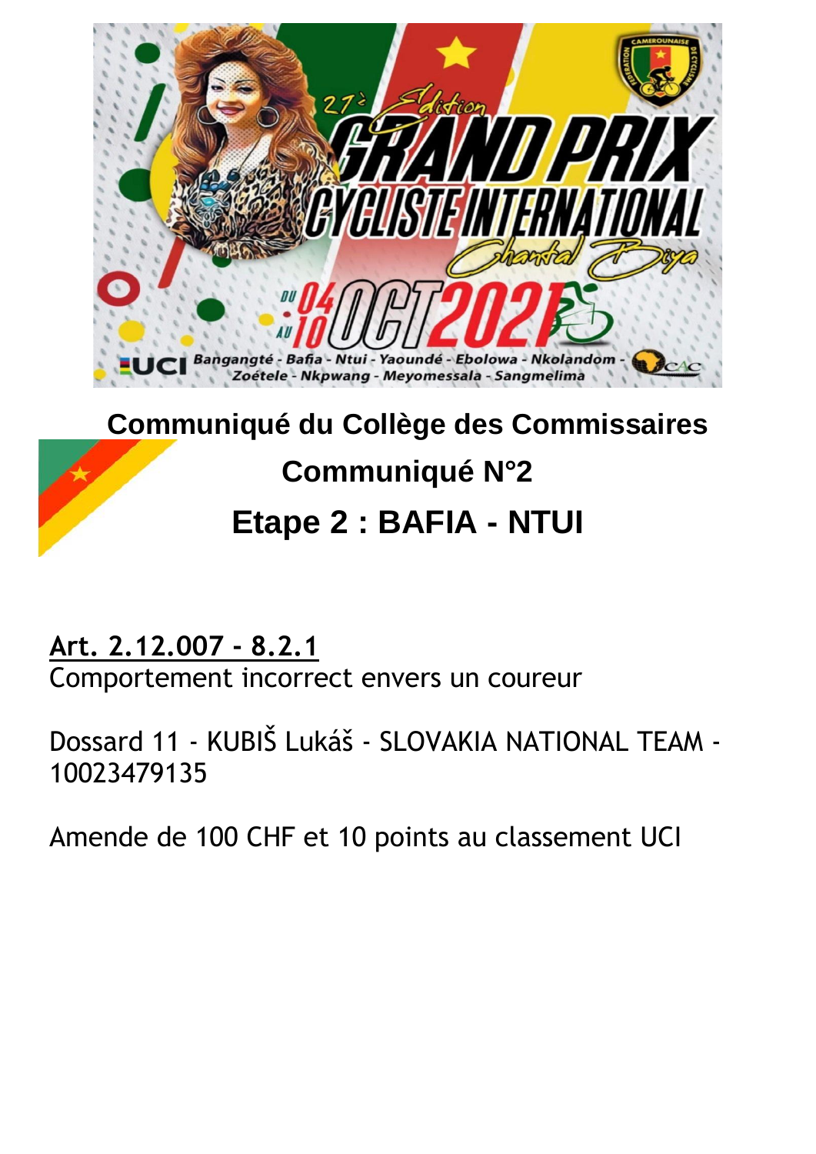

# **Communiqué du Collège des Commissaires Communiqué N°2 Etape 2 : BAFIA - NTUI**

**Art. 2.12.007 - 8.2.1**

Comportement incorrect envers un coureur

Dossard 11 - KUBIŠ Lukáš - SLOVAKIA NATIONAL TEAM - 10023479135

Amende de 100 CHF et 10 points au classement UCI